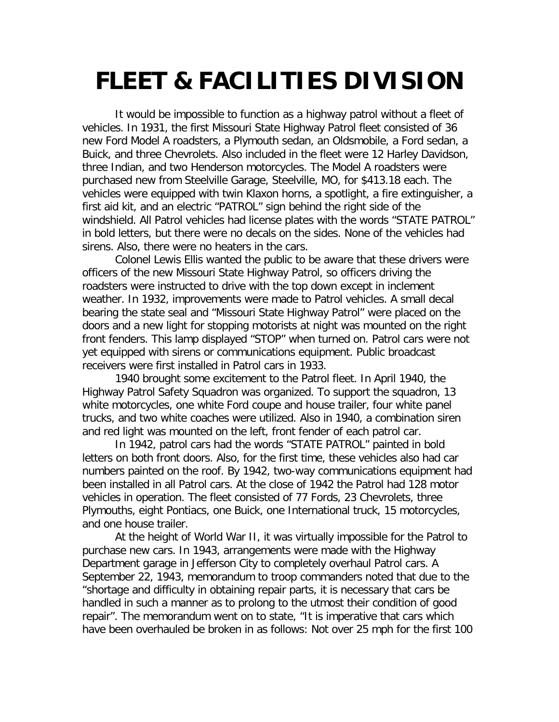## **FLEET & FACILITIES DIVISION**

It would be impossible to function as a highway patrol without a fleet of vehicles. In 1931, the first Missouri State Highway Patrol fleet consisted of 36 new Ford Model A roadsters, a Plymouth sedan, an Oldsmobile, a Ford sedan, a Buick, and three Chevrolets. Also included in the fleet were 12 Harley Davidson, three Indian, and two Henderson motorcycles. The Model A roadsters were purchased new from Steelville Garage, Steelville, MO, for \$413.18 each. The vehicles were equipped with twin Klaxon horns, a spotlight, a fire extinguisher, a first aid kit, and an electric "PATROL" sign behind the right side of the windshield. All Patrol vehicles had license plates with the words "STATE PATROL" in bold letters, but there were no decals on the sides. None of the vehicles had sirens. Also, there were no heaters in the cars.

Colonel Lewis Ellis wanted the public to be aware that these drivers were officers of the new Missouri State Highway Patrol, so officers driving the roadsters were instructed to drive with the top down except in inclement weather. In 1932, improvements were made to Patrol vehicles. A small decal bearing the state seal and "Missouri State Highway Patrol" were placed on the doors and a new light for stopping motorists at night was mounted on the right front fenders. This lamp displayed "STOP" when turned on. Patrol cars were not yet equipped with sirens or communications equipment. Public broadcast receivers were first installed in Patrol cars in 1933.

1940 brought some excitement to the Patrol fleet. In April 1940, the Highway Patrol Safety Squadron was organized. To support the squadron, 13 white motorcycles, one white Ford coupe and house trailer, four white panel trucks, and two white coaches were utilized. Also in 1940, a combination siren and red light was mounted on the left, front fender of each patrol car.

In 1942, patrol cars had the words "STATE PATROL" painted in bold letters on both front doors. Also, for the first time, these vehicles also had car numbers painted on the roof. By 1942, two-way communications equipment had been installed in all Patrol cars. At the close of 1942 the Patrol had 128 motor vehicles in operation. The fleet consisted of 77 Fords, 23 Chevrolets, three Plymouths, eight Pontiacs, one Buick, one International truck, 15 motorcycles, and one house trailer.

At the height of World War II, it was virtually impossible for the Patrol to purchase new cars. In 1943, arrangements were made with the Highway Department garage in Jefferson City to completely overhaul Patrol cars. A September 22, 1943, memorandum to troop commanders noted that due to the "shortage and difficulty in obtaining repair parts, it is necessary that cars be handled in such a manner as to prolong to the utmost their condition of good repair". The memorandum went on to state, "It is imperative that cars which have been overhauled be broken in as follows: Not over 25 mph for the first 100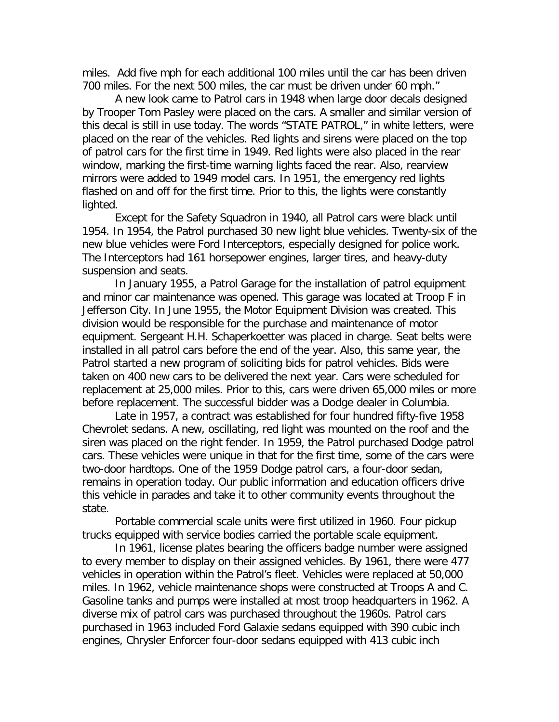miles. Add five mph for each additional 100 miles until the car has been driven 700 miles. For the next 500 miles, the car must be driven under 60 mph."

A new look came to Patrol cars in 1948 when large door decals designed by Trooper Tom Pasley were placed on the cars. A smaller and similar version of this decal is still in use today. The words "STATE PATROL," in white letters, were placed on the rear of the vehicles. Red lights and sirens were placed on the top of patrol cars for the first time in 1949. Red lights were also placed in the rear window, marking the first-time warning lights faced the rear. Also, rearview mirrors were added to 1949 model cars. In 1951, the emergency red lights flashed on and off for the first time. Prior to this, the lights were constantly lighted.

Except for the Safety Squadron in 1940, all Patrol cars were black until 1954. In 1954, the Patrol purchased 30 new light blue vehicles. Twenty-six of the new blue vehicles were Ford Interceptors, especially designed for police work. The Interceptors had 161 horsepower engines, larger tires, and heavy-duty suspension and seats.

In January 1955, a Patrol Garage for the installation of patrol equipment and minor car maintenance was opened. This garage was located at Troop F in Jefferson City. In June 1955, the Motor Equipment Division was created. This division would be responsible for the purchase and maintenance of motor equipment. Sergeant H.H. Schaperkoetter was placed in charge. Seat belts were installed in all patrol cars before the end of the year. Also, this same year, the Patrol started a new program of soliciting bids for patrol vehicles. Bids were taken on 400 new cars to be delivered the next year. Cars were scheduled for replacement at 25,000 miles. Prior to this, cars were driven 65,000 miles or more before replacement. The successful bidder was a Dodge dealer in Columbia.

Late in 1957, a contract was established for four hundred fifty-five 1958 Chevrolet sedans. A new, oscillating, red light was mounted on the roof and the siren was placed on the right fender. In 1959, the Patrol purchased Dodge patrol cars. These vehicles were unique in that for the first time, some of the cars were two-door hardtops. One of the 1959 Dodge patrol cars, a four-door sedan, remains in operation today. Our public information and education officers drive this vehicle in parades and take it to other community events throughout the state.

Portable commercial scale units were first utilized in 1960. Four pickup trucks equipped with service bodies carried the portable scale equipment.

In 1961, license plates bearing the officers badge number were assigned to every member to display on their assigned vehicles. By 1961, there were 477 vehicles in operation within the Patrol's fleet. Vehicles were replaced at 50,000 miles. In 1962, vehicle maintenance shops were constructed at Troops A and C. Gasoline tanks and pumps were installed at most troop headquarters in 1962. A diverse mix of patrol cars was purchased throughout the 1960s. Patrol cars purchased in 1963 included Ford Galaxie sedans equipped with 390 cubic inch engines, Chrysler Enforcer four-door sedans equipped with 413 cubic inch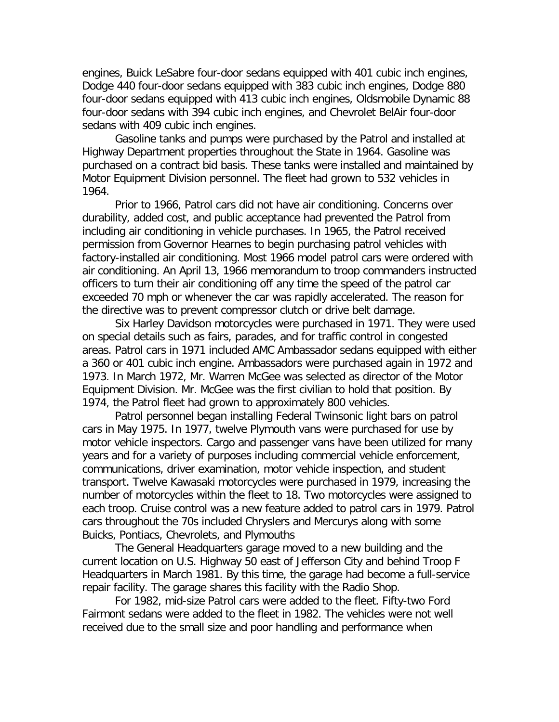engines, Buick LeSabre four-door sedans equipped with 401 cubic inch engines, Dodge 440 four-door sedans equipped with 383 cubic inch engines, Dodge 880 four-door sedans equipped with 413 cubic inch engines, Oldsmobile Dynamic 88 four-door sedans with 394 cubic inch engines, and Chevrolet BelAir four-door sedans with 409 cubic inch engines.

Gasoline tanks and pumps were purchased by the Patrol and installed at Highway Department properties throughout the State in 1964. Gasoline was purchased on a contract bid basis. These tanks were installed and maintained by Motor Equipment Division personnel. The fleet had grown to 532 vehicles in 1964.

Prior to 1966, Patrol cars did not have air conditioning. Concerns over durability, added cost, and public acceptance had prevented the Patrol from including air conditioning in vehicle purchases. In 1965, the Patrol received permission from Governor Hearnes to begin purchasing patrol vehicles with factory-installed air conditioning. Most 1966 model patrol cars were ordered with air conditioning. An April 13, 1966 memorandum to troop commanders instructed officers to turn their air conditioning off any time the speed of the patrol car exceeded 70 mph or whenever the car was rapidly accelerated. The reason for the directive was to prevent compressor clutch or drive belt damage.

Six Harley Davidson motorcycles were purchased in 1971. They were used on special details such as fairs, parades, and for traffic control in congested areas. Patrol cars in 1971 included AMC Ambassador sedans equipped with either a 360 or 401 cubic inch engine. Ambassadors were purchased again in 1972 and 1973. In March 1972, Mr. Warren McGee was selected as director of the Motor Equipment Division. Mr. McGee was the first civilian to hold that position. By 1974, the Patrol fleet had grown to approximately 800 vehicles.

Patrol personnel began installing Federal Twinsonic light bars on patrol cars in May 1975. In 1977, twelve Plymouth vans were purchased for use by motor vehicle inspectors. Cargo and passenger vans have been utilized for many years and for a variety of purposes including commercial vehicle enforcement, communications, driver examination, motor vehicle inspection, and student transport. Twelve Kawasaki motorcycles were purchased in 1979, increasing the number of motorcycles within the fleet to 18. Two motorcycles were assigned to each troop. Cruise control was a new feature added to patrol cars in 1979. Patrol cars throughout the 70s included Chryslers and Mercurys along with some Buicks, Pontiacs, Chevrolets, and Plymouths

The General Headquarters garage moved to a new building and the current location on U.S. Highway 50 east of Jefferson City and behind Troop F Headquarters in March 1981. By this time, the garage had become a full-service repair facility. The garage shares this facility with the Radio Shop.

For 1982, mid-size Patrol cars were added to the fleet. Fifty-two Ford Fairmont sedans were added to the fleet in 1982. The vehicles were not well received due to the small size and poor handling and performance when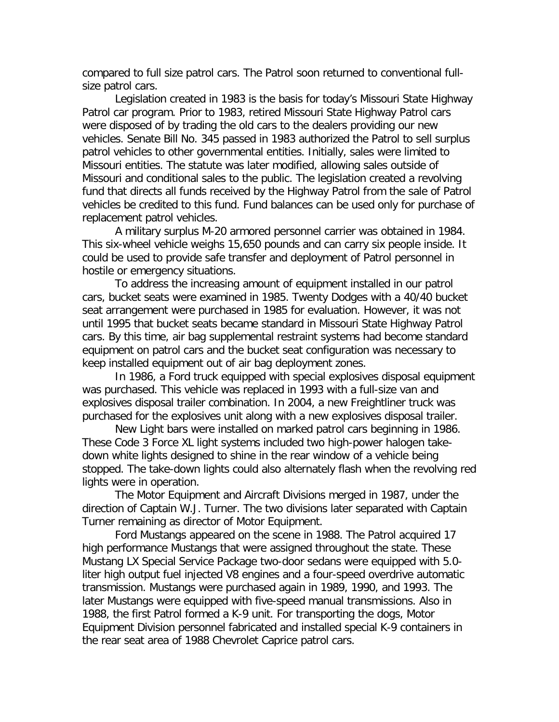compared to full size patrol cars. The Patrol soon returned to conventional fullsize patrol cars.

Legislation created in 1983 is the basis for today's Missouri State Highway Patrol car program. Prior to 1983, retired Missouri State Highway Patrol cars were disposed of by trading the old cars to the dealers providing our new vehicles. Senate Bill No. 345 passed in 1983 authorized the Patrol to sell surplus patrol vehicles to other governmental entities. Initially, sales were limited to Missouri entities. The statute was later modified, allowing sales outside of Missouri and conditional sales to the public. The legislation created a revolving fund that directs all funds received by the Highway Patrol from the sale of Patrol vehicles be credited to this fund. Fund balances can be used only for purchase of replacement patrol vehicles.

A military surplus M-20 armored personnel carrier was obtained in 1984. This six-wheel vehicle weighs 15,650 pounds and can carry six people inside. It could be used to provide safe transfer and deployment of Patrol personnel in hostile or emergency situations.

To address the increasing amount of equipment installed in our patrol cars, bucket seats were examined in 1985. Twenty Dodges with a 40/40 bucket seat arrangement were purchased in 1985 for evaluation. However, it was not until 1995 that bucket seats became standard in Missouri State Highway Patrol cars. By this time, air bag supplemental restraint systems had become standard equipment on patrol cars and the bucket seat configuration was necessary to keep installed equipment out of air bag deployment zones.

In 1986, a Ford truck equipped with special explosives disposal equipment was purchased. This vehicle was replaced in 1993 with a full-size van and explosives disposal trailer combination. In 2004, a new Freightliner truck was purchased for the explosives unit along with a new explosives disposal trailer.

New Light bars were installed on marked patrol cars beginning in 1986. These Code 3 Force XL light systems included two high-power halogen takedown white lights designed to shine in the rear window of a vehicle being stopped. The take-down lights could also alternately flash when the revolving red lights were in operation.

The Motor Equipment and Aircraft Divisions merged in 1987, under the direction of Captain W.J. Turner. The two divisions later separated with Captain Turner remaining as director of Motor Equipment.

Ford Mustangs appeared on the scene in 1988. The Patrol acquired 17 high performance Mustangs that were assigned throughout the state. These Mustang LX Special Service Package two-door sedans were equipped with 5.0 liter high output fuel injected V8 engines and a four-speed overdrive automatic transmission. Mustangs were purchased again in 1989, 1990, and 1993. The later Mustangs were equipped with five-speed manual transmissions. Also in 1988, the first Patrol formed a K-9 unit. For transporting the dogs, Motor Equipment Division personnel fabricated and installed special K-9 containers in the rear seat area of 1988 Chevrolet Caprice patrol cars.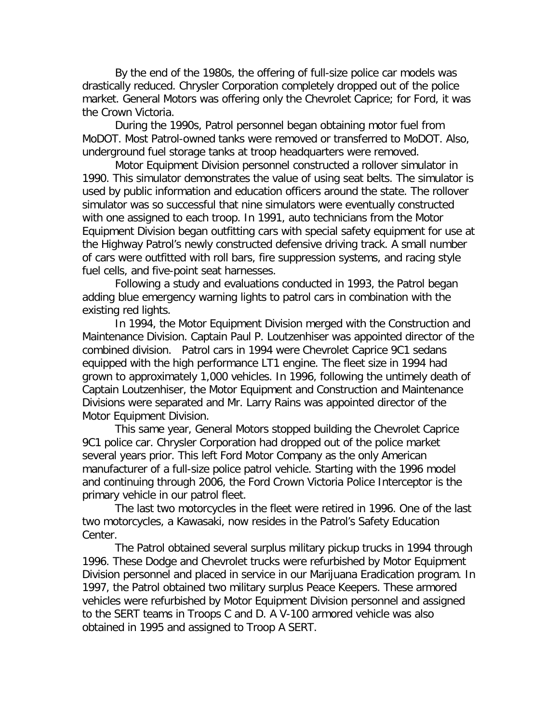By the end of the 1980s, the offering of full-size police car models was drastically reduced. Chrysler Corporation completely dropped out of the police market. General Motors was offering only the Chevrolet Caprice; for Ford, it was the Crown Victoria.

During the 1990s, Patrol personnel began obtaining motor fuel from MoDOT. Most Patrol-owned tanks were removed or transferred to MoDOT. Also, underground fuel storage tanks at troop headquarters were removed.

Motor Equipment Division personnel constructed a rollover simulator in 1990. This simulator demonstrates the value of using seat belts. The simulator is used by public information and education officers around the state. The rollover simulator was so successful that nine simulators were eventually constructed with one assigned to each troop. In 1991, auto technicians from the Motor Equipment Division began outfitting cars with special safety equipment for use at the Highway Patrol's newly constructed defensive driving track. A small number of cars were outfitted with roll bars, fire suppression systems, and racing style fuel cells, and five-point seat harnesses.

Following a study and evaluations conducted in 1993, the Patrol began adding blue emergency warning lights to patrol cars in combination with the existing red lights.

In 1994, the Motor Equipment Division merged with the Construction and Maintenance Division. Captain Paul P. Loutzenhiser was appointed director of the combined division. Patrol cars in 1994 were Chevrolet Caprice 9C1 sedans equipped with the high performance LT1 engine. The fleet size in 1994 had grown to approximately 1,000 vehicles. In 1996, following the untimely death of Captain Loutzenhiser, the Motor Equipment and Construction and Maintenance Divisions were separated and Mr. Larry Rains was appointed director of the Motor Equipment Division.

This same year, General Motors stopped building the Chevrolet Caprice 9C1 police car. Chrysler Corporation had dropped out of the police market several years prior. This left Ford Motor Company as the only American manufacturer of a full-size police patrol vehicle. Starting with the 1996 model and continuing through 2006, the Ford Crown Victoria Police Interceptor is the primary vehicle in our patrol fleet.

The last two motorcycles in the fleet were retired in 1996. One of the last two motorcycles, a Kawasaki, now resides in the Patrol's Safety Education Center.

The Patrol obtained several surplus military pickup trucks in 1994 through 1996. These Dodge and Chevrolet trucks were refurbished by Motor Equipment Division personnel and placed in service in our Marijuana Eradication program. In 1997, the Patrol obtained two military surplus Peace Keepers. These armored vehicles were refurbished by Motor Equipment Division personnel and assigned to the SERT teams in Troops C and D. A V-100 armored vehicle was also obtained in 1995 and assigned to Troop A SERT.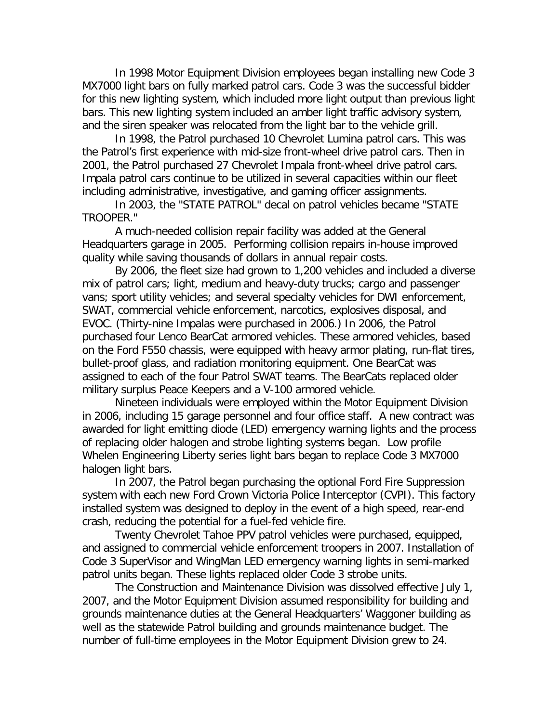In 1998 Motor Equipment Division employees began installing new Code 3 MX7000 light bars on fully marked patrol cars. Code 3 was the successful bidder for this new lighting system, which included more light output than previous light bars. This new lighting system included an amber light traffic advisory system, and the siren speaker was relocated from the light bar to the vehicle grill.

In 1998, the Patrol purchased 10 Chevrolet Lumina patrol cars. This was the Patrol's first experience with mid-size front-wheel drive patrol cars. Then in 2001, the Patrol purchased 27 Chevrolet Impala front-wheel drive patrol cars. Impala patrol cars continue to be utilized in several capacities within our fleet including administrative, investigative, and gaming officer assignments.

In 2003, the "STATE PATROL" decal on patrol vehicles became "STATE TROOPER."

A much-needed collision repair facility was added at the General Headquarters garage in 2005. Performing collision repairs in-house improved quality while saving thousands of dollars in annual repair costs.

By 2006, the fleet size had grown to 1,200 vehicles and included a diverse mix of patrol cars; light, medium and heavy-duty trucks; cargo and passenger vans; sport utility vehicles; and several specialty vehicles for DWI enforcement, SWAT, commercial vehicle enforcement, narcotics, explosives disposal, and EVOC. (Thirty-nine Impalas were purchased in 2006.) In 2006, the Patrol purchased four Lenco BearCat armored vehicles. These armored vehicles, based on the Ford F550 chassis, were equipped with heavy armor plating, run-flat tires, bullet-proof glass, and radiation monitoring equipment. One BearCat was assigned to each of the four Patrol SWAT teams. The BearCats replaced older military surplus Peace Keepers and a V-100 armored vehicle.

Nineteen individuals were employed within the Motor Equipment Division in 2006, including 15 garage personnel and four office staff. A new contract was awarded for light emitting diode (LED) emergency warning lights and the process of replacing older halogen and strobe lighting systems began. Low profile Whelen Engineering Liberty series light bars began to replace Code 3 MX7000 halogen light bars.

In 2007, the Patrol began purchasing the optional Ford Fire Suppression system with each new Ford Crown Victoria Police Interceptor (CVPI). This factory installed system was designed to deploy in the event of a high speed, rear-end crash, reducing the potential for a fuel-fed vehicle fire.

Twenty Chevrolet Tahoe PPV patrol vehicles were purchased, equipped, and assigned to commercial vehicle enforcement troopers in 2007. Installation of Code 3 SuperVisor and WingMan LED emergency warning lights in semi-marked patrol units began. These lights replaced older Code 3 strobe units.

The Construction and Maintenance Division was dissolved effective July 1, 2007, and the Motor Equipment Division assumed responsibility for building and grounds maintenance duties at the General Headquarters' Waggoner building as well as the statewide Patrol building and grounds maintenance budget. The number of full-time employees in the Motor Equipment Division grew to 24.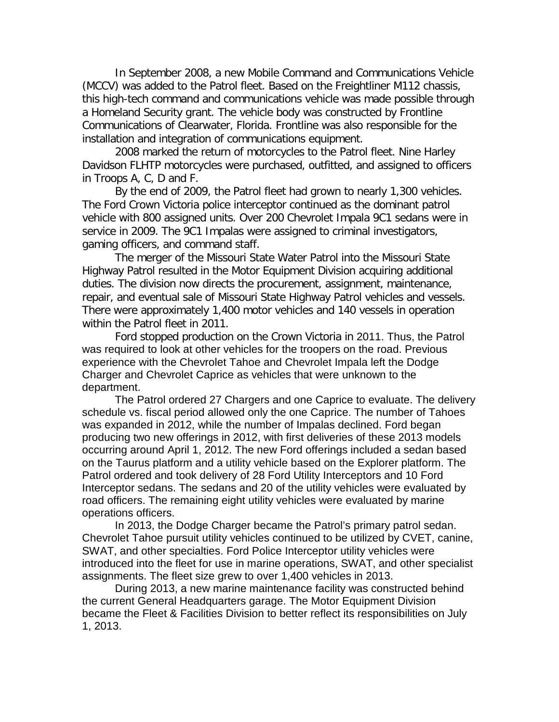In September 2008, a new Mobile Command and Communications Vehicle (MCCV) was added to the Patrol fleet. Based on the Freightliner M112 chassis, this high-tech command and communications vehicle was made possible through a Homeland Security grant. The vehicle body was constructed by Frontline Communications of Clearwater, Florida. Frontline was also responsible for the installation and integration of communications equipment.

2008 marked the return of motorcycles to the Patrol fleet. Nine Harley Davidson FLHTP motorcycles were purchased, outfitted, and assigned to officers in Troops A, C, D and F.

By the end of 2009, the Patrol fleet had grown to nearly 1,300 vehicles. The Ford Crown Victoria police interceptor continued as the dominant patrol vehicle with 800 assigned units. Over 200 Chevrolet Impala 9C1 sedans were in service in 2009. The 9C1 Impalas were assigned to criminal investigators, gaming officers, and command staff.

The merger of the Missouri State Water Patrol into the Missouri State Highway Patrol resulted in the Motor Equipment Division acquiring additional duties. The division now directs the procurement, assignment, maintenance, repair, and eventual sale of Missouri State Highway Patrol vehicles and vessels. There were approximately 1,400 motor vehicles and 140 vessels in operation within the Patrol fleet in 2011.

Ford stopped production on the Crown Victoria in 2011. Thus, the Patrol was required to look at other vehicles for the troopers on the road. Previous experience with the Chevrolet Tahoe and Chevrolet Impala left the Dodge Charger and Chevrolet Caprice as vehicles that were unknown to the department.

The Patrol ordered 27 Chargers and one Caprice to evaluate. The delivery schedule vs. fiscal period allowed only the one Caprice. The number of Tahoes was expanded in 2012, while the number of Impalas declined. Ford began producing two new offerings in 2012, with first deliveries of these 2013 models occurring around April 1, 2012. The new Ford offerings included a sedan based on the Taurus platform and a utility vehicle based on the Explorer platform. The Patrol ordered and took delivery of 28 Ford Utility Interceptors and 10 Ford Interceptor sedans. The sedans and 20 of the utility vehicles were evaluated by road officers. The remaining eight utility vehicles were evaluated by marine operations officers.

In 2013, the Dodge Charger became the Patrol's primary patrol sedan. Chevrolet Tahoe pursuit utility vehicles continued to be utilized by CVET, canine, SWAT, and other specialties. Ford Police Interceptor utility vehicles were introduced into the fleet for use in marine operations, SWAT, and other specialist assignments. The fleet size grew to over 1,400 vehicles in 2013.

During 2013, a new marine maintenance facility was constructed behind the current General Headquarters garage. The Motor Equipment Division became the Fleet & Facilities Division to better reflect its responsibilities on July 1, 2013.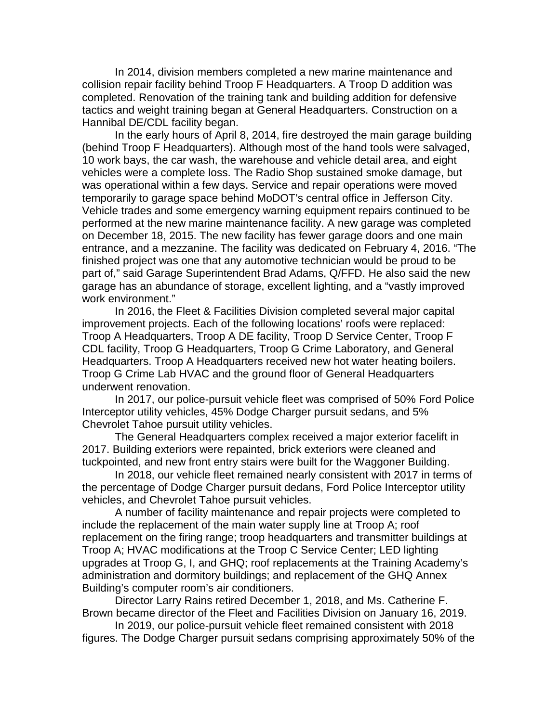In 2014, division members completed a new marine maintenance and collision repair facility behind Troop F Headquarters. A Troop D addition was completed. Renovation of the training tank and building addition for defensive tactics and weight training began at General Headquarters. Construction on a Hannibal DE/CDL facility began.

In the early hours of April 8, 2014, fire destroyed the main garage building (behind Troop F Headquarters). Although most of the hand tools were salvaged, 10 work bays, the car wash, the warehouse and vehicle detail area, and eight vehicles were a complete loss. The Radio Shop sustained smoke damage, but was operational within a few days. Service and repair operations were moved temporarily to garage space behind MoDOT's central office in Jefferson City. Vehicle trades and some emergency warning equipment repairs continued to be performed at the new marine maintenance facility. A new garage was completed on December 18, 2015. The new facility has fewer garage doors and one main entrance, and a mezzanine. The facility was dedicated on February 4, 2016. "The finished project was one that any automotive technician would be proud to be part of," said Garage Superintendent Brad Adams, Q/FFD. He also said the new garage has an abundance of storage, excellent lighting, and a "vastly improved work environment."

In 2016, the Fleet & Facilities Division completed several major capital improvement projects. Each of the following locations' roofs were replaced: Troop A Headquarters, Troop A DE facility, Troop D Service Center, Troop F CDL facility, Troop G Headquarters, Troop G Crime Laboratory, and General Headquarters. Troop A Headquarters received new hot water heating boilers. Troop G Crime Lab HVAC and the ground floor of General Headquarters underwent renovation.

In 2017, our police-pursuit vehicle fleet was comprised of 50% Ford Police Interceptor utility vehicles, 45% Dodge Charger pursuit sedans, and 5% Chevrolet Tahoe pursuit utility vehicles.

The General Headquarters complex received a major exterior facelift in 2017. Building exteriors were repainted, brick exteriors were cleaned and tuckpointed, and new front entry stairs were built for the Waggoner Building.

In 2018, our vehicle fleet remained nearly consistent with 2017 in terms of the percentage of Dodge Charger pursuit dedans, Ford Police Interceptor utility vehicles, and Chevrolet Tahoe pursuit vehicles.

A number of facility maintenance and repair projects were completed to include the replacement of the main water supply line at Troop A; roof replacement on the firing range; troop headquarters and transmitter buildings at Troop A; HVAC modifications at the Troop C Service Center; LED lighting upgrades at Troop G, I, and GHQ; roof replacements at the Training Academy's administration and dormitory buildings; and replacement of the GHQ Annex Building's computer room's air conditioners.

Director Larry Rains retired December 1, 2018, and Ms. Catherine F. Brown became director of the Fleet and Facilities Division on January 16, 2019.

In 2019, our police-pursuit vehicle fleet remained consistent with 2018 figures. The Dodge Charger pursuit sedans comprising approximately 50% of the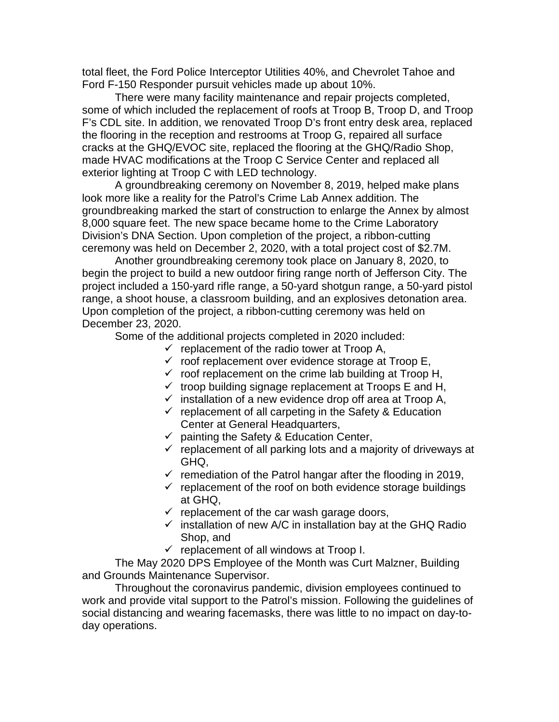total fleet, the Ford Police Interceptor Utilities 40%, and Chevrolet Tahoe and Ford F-150 Responder pursuit vehicles made up about 10%.

There were many facility maintenance and repair projects completed, some of which included the replacement of roofs at Troop B, Troop D, and Troop F's CDL site. In addition, we renovated Troop D's front entry desk area, replaced the flooring in the reception and restrooms at Troop G, repaired all surface cracks at the GHQ/EVOC site, replaced the flooring at the GHQ/Radio Shop, made HVAC modifications at the Troop C Service Center and replaced all exterior lighting at Troop C with LED technology.

A groundbreaking ceremony on November 8, 2019, helped make plans look more like a reality for the Patrol's Crime Lab Annex addition. The groundbreaking marked the start of construction to enlarge the Annex by almost 8,000 square feet. The new space became home to the Crime Laboratory Division's DNA Section. Upon completion of the project, a ribbon-cutting ceremony was held on December 2, 2020, with a total project cost of \$2.7M.

Another groundbreaking ceremony took place on January 8, 2020, to begin the project to build a new outdoor firing range north of Jefferson City. The project included a 150-yard rifle range, a 50-yard shotgun range, a 50-yard pistol range, a shoot house, a classroom building, and an explosives detonation area. Upon completion of the project, a ribbon-cutting ceremony was held on December 23, 2020.

Some of the additional projects completed in 2020 included:

- $\checkmark$  replacement of the radio tower at Troop A,
- $\checkmark$  roof replacement over evidence storage at Troop E,
- $\checkmark$  roof replacement on the crime lab building at Troop H,
- $\checkmark$  troop building signage replacement at Troops E and H,
- $\checkmark$  installation of a new evidence drop off area at Troop A,
- $\checkmark$  replacement of all carpeting in the Safety & Education Center at General Headquarters,
- $\checkmark$  painting the Safety & Education Center,
- $\checkmark$  replacement of all parking lots and a majority of driveways at GHQ,
- $\checkmark$  remediation of the Patrol hangar after the flooding in 2019,
- $\checkmark$  replacement of the roof on both evidence storage buildings at GHQ,
- $\checkmark$  replacement of the car wash garage doors,
- $\checkmark$  installation of new A/C in installation bay at the GHQ Radio Shop, and
- $\checkmark$  replacement of all windows at Troop I.

The May 2020 DPS Employee of the Month was Curt Malzner, Building and Grounds Maintenance Supervisor.

Throughout the coronavirus pandemic, division employees continued to work and provide vital support to the Patrol's mission. Following the guidelines of social distancing and wearing facemasks, there was little to no impact on day-today operations.